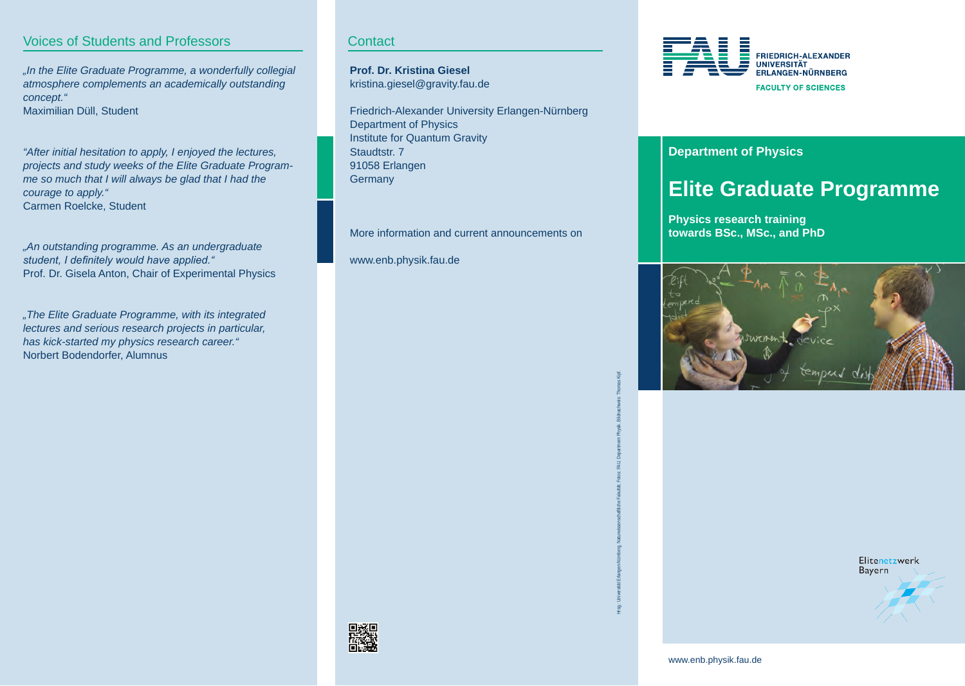# Voices of Students and Professors

*"In the Elite Graduate Programme, a wonderfully collegial atmosphere complements an academically outstanding concept."* Maximilian Düll, Student

*"After initial hesitation to apply, I enjoyed the lectures, projects and study weeks of the Elite Graduate Programme so much that I will always be glad that I had the courage to apply."* Carmen Roelcke, Student

*"An outstanding programme. As an undergraduate student, I definitely would have applied."* Prof. Dr. Gisela Anton, Chair of Experimental Physics

*"The Elite Graduate Programme, with its integrated lectures and serious research projects in particular, has kick-started my physics research career."* Norbert Bodendorfer, Alumnus

**Contact** 

**Prof. Dr. Kristina Giesel** kristina.giesel@gravity.fau.de

Friedrich-Alexander University Erlangen-Nürnberg Department of Physics Institute for Quantum Gravity Staudtstr. 7 91058 Erlangen **Germany** 

More information and current announcements on

www.enb.physik.fau.de



### **Department of Physics**

# **Elite Graduate Programme**

**Physics research training towards BSc., MSc., and PhD**





Elitenetzwerk Bayern